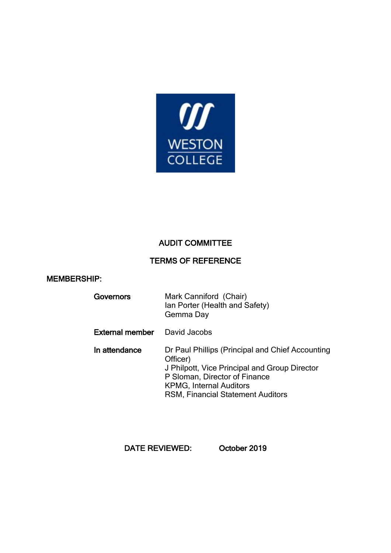

# AUDIT COMMITTEE

# TERMS OF REFERENCE

### MEMBERSHIP:

| Governors | Mark Canniford (Chair)         |
|-----------|--------------------------------|
|           | Ian Porter (Health and Safety) |
|           | Gemma Day                      |

## External member David Jacobs

In attendance Dr Paul Phillips (Principal and Chief Accounting Officer) J Philpott, Vice Principal and Group Director P Sloman, Director of Finance KPMG, Internal Auditors RSM, Financial Statement Auditors

DATE REVIEWED: October 2019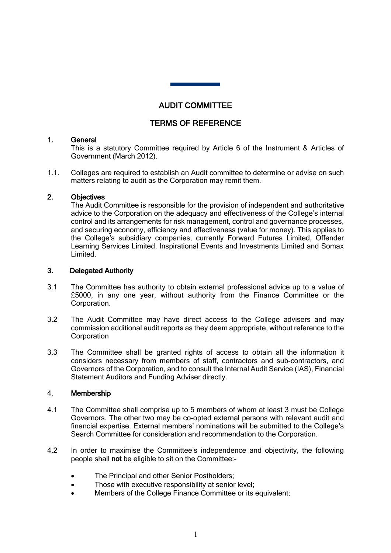## AUDIT COMMITTEE

 Ĩ

### TERMS OF REFERENCE

#### 1. General

This is a statutory Committee required by Article 6 of the Instrument & Articles of Government (March 2012). quired by<br>an Audit<br>poration

1.1. Colleges are required to establish an Audit committee to determine or advise on such matters relating to audit as the Corporation may remit them.

#### 2. Objectives

The Audit Committee is responsible for the provision of independent and authoritative advice to the Corporation on the adequacy and effectiveness of the College's internal control and its arrangements for risk management, control and governance processes, and securing economy, efficiency and effectiveness (value for money). This applies to the College's subsidiary companies, currently Forward Futures Limited, Offender Learning Services Limited, Inspirational Events and Investments Limited and Somax Limited.

#### 3. Delegated Authority

- 3.1 The Committee has authority to obtain external professional advice up to a value of £5000, in any one year, without authority from the Finance Committee or the Corporation.
- 3.2 The Audit Committee may have direct access to the College advisers and may commission additional audit reports as they deem appropriate, without reference to the **Corporation**
- 3.3 The Committee shall be granted rights of access to obtain all the information it considers necessary from members of staff, contractors and sub-contractors, and Governors of the Corporation, and to consult the Internal Audit Service (IAS), Financial Statement Auditors and Funding Adviser directly.

#### 4. Membership

- 4.1 The Committee shall comprise up to 5 members of whom at least 3 must be College Governors. The other two may be co-opted external persons with relevant audit and financial expertise. External members' nominations will be submitted to the College's Search Committee for consideration and recommendation to the Corporation.
- 4.2 In order to maximise the Committee's independence and objectivity, the following people shall not be eligible to sit on the Committee:-
	- The Principal and other Senior Postholders;
	- Those with executive responsibility at senior level;
	- Members of the College Finance Committee or its equivalent;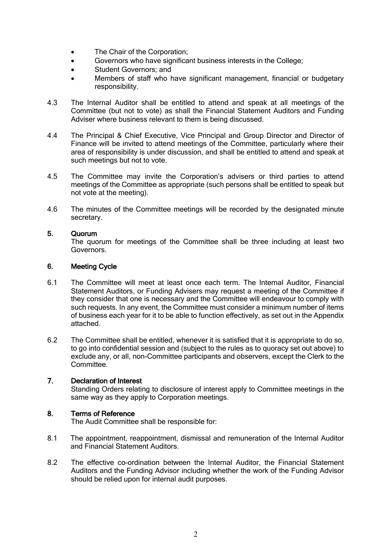- The Chair of the Corporation;
- Governors who have significant business interests in the College:
- Student Governors; and
- Members of staff who have significant management, financial or budgetary responsibility.
- 4.3 The Internal Auditor shall be entitled to attend and speak at all meetings of the Committee (but not to vote) as shall the Financial Statement Auditors and Funding Adviser where business relevant to them is being discussed.
- 4.4 The Principal & Chief Executive, Vice Principal and Group Director and Director of Finance will be invited to attend meetings of the Committee, particularly where their area of responsibility is under discussion, and shall be entitled to attend and speak at such meetings but not to vote.
- 4.5 The Committee may invite the Corporation's advisers or third parties to attend meetings of the Committee as appropriate (such persons shall be entitled to speak but not vote at the meeting).
- 4.6 The minutes of the Committee meetings will be recorded by the designated minute secretary.

### 5. Quorum

The quorum for meetings of the Committee shall be three including at least two Governors.

#### 6. Meeting Cycle

- 6.1 The Committee will meet at least once each term. The Internal Auditor, Financial Statement Auditors, or Funding Advisers may request a meeting of the Committee if they consider that one is necessary and the Committee will endeavour to comply with such requests. In any event, the Committee must consider a minimum number of items of business each year for it to be able to function effectively, as set out in the Appendix attached.
- 6.2 The Committee shall be entitled, whenever it is satisfied that it is appropriate to do so, to go into confidential session and (subject to the rules as to quoracy set out above) to exclude any, or all, non-Committee participants and observers, except the Clerk to the Committee<sup>1</sup>

#### 7. Declaration of Interest

Standing Orders relating to disclosure of interest apply to Committee meetings in the same way as they apply to Corporation meetings.

#### 8. Terms of Reference

The Audit Committee shall be responsible for:

- 8.1 The appointment, reappointment, dismissal and remuneration of the Internal Auditor and Financial Statement Auditors.
- 8.2 The effective co-ordination between the Internal Auditor, the Financial Statement Auditors and the Funding Advisor including whether the work of the Funding Advisor should be relied upon for internal audit purposes.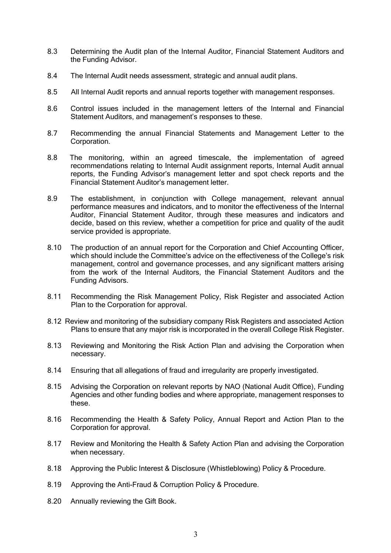- 8.3 Determining the Audit plan of the Internal Auditor, Financial Statement Auditors and the Funding Advisor.
- 8.4 The Internal Audit needs assessment, strategic and annual audit plans.
- 8.5 All Internal Audit reports and annual reports together with management responses.
- 8.6 Control issues included in the management letters of the Internal and Financial Statement Auditors, and management's responses to these.
- 8.7 Recommending the annual Financial Statements and Management Letter to the Corporation.
- 8.8 The monitoring, within an agreed timescale, the implementation of agreed recommendations relating to Internal Audit assignment reports, Internal Audit annual reports, the Funding Advisor's management letter and spot check reports and the Financial Statement Auditor's management letter.
- 8.9 The establishment, in conjunction with College management, relevant annual performance measures and indicators, and to monitor the effectiveness of the Internal Auditor, Financial Statement Auditor, through these measures and indicators and decide, based on this review, whether a competition for price and quality of the audit service provided is appropriate.
- 8.10 The production of an annual report for the Corporation and Chief Accounting Officer, which should include the Committee's advice on the effectiveness of the College's risk management, control and governance processes, and any significant matters arising from the work of the Internal Auditors, the Financial Statement Auditors and the Funding Advisors.
- 8.11 Recommending the Risk Management Policy, Risk Register and associated Action Plan to the Corporation for approval.
- 8.12 Review and monitoring of the subsidiary company Risk Registers and associated Action Plans to ensure that any major risk is incorporated in the overall College Risk Register.
- 8.13 Reviewing and Monitoring the Risk Action Plan and advising the Corporation when necessary.
- 8.14 Ensuring that all allegations of fraud and irregularity are properly investigated.
- 8.15 Advising the Corporation on relevant reports by NAO (National Audit Office), Funding Agencies and other funding bodies and where appropriate, management responses to these.
- 8.16 Recommending the Health & Safety Policy, Annual Report and Action Plan to the Corporation for approval.
- 8.17 Review and Monitoring the Health & Safety Action Plan and advising the Corporation when necessary.
- 8.18 Approving the Public Interest & Disclosure (Whistleblowing) Policy & Procedure.
- 8.19 Approving the Anti-Fraud & Corruption Policy & Procedure.
- 8.20 Annually reviewing the Gift Book.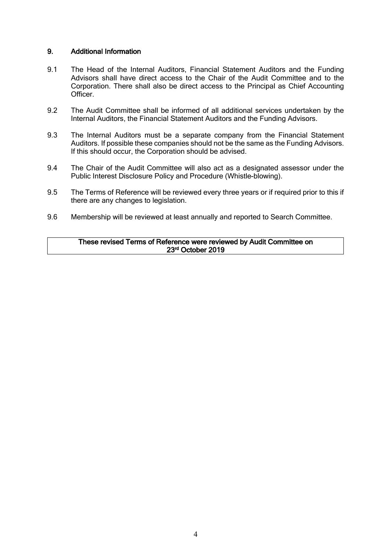#### 9. Additional Information

- 9.1 The Head of the Internal Auditors, Financial Statement Auditors and the Funding Advisors shall have direct access to the Chair of the Audit Committee and to the Corporation. There shall also be direct access to the Principal as Chief Accounting Officer.
- 9.2 The Audit Committee shall be informed of all additional services undertaken by the Internal Auditors, the Financial Statement Auditors and the Funding Advisors.
- 9.3 The Internal Auditors must be a separate company from the Financial Statement Auditors. If possible these companies should not be the same as the Funding Advisors. If this should occur, the Corporation should be advised.
- 9.4 The Chair of the Audit Committee will also act as a designated assessor under the Public Interest Disclosure Policy and Procedure (Whistle-blowing).
- 9.5 The Terms of Reference will be reviewed every three years or if required prior to this if there are any changes to legislation.
- 9.6 Membership will be reviewed at least annually and reported to Search Committee.

#### These revised Terms of Reference were reviewed by Audit Committee on 23rd October 2019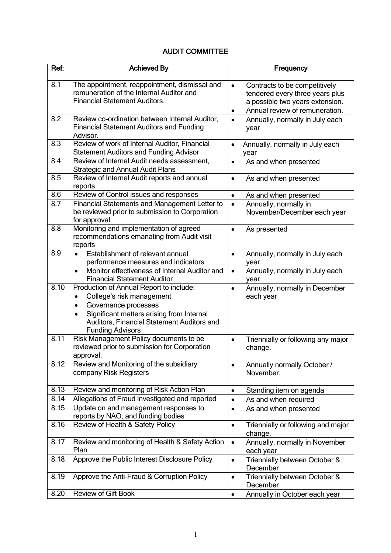# AUDIT COMMITTEE

| Ref: | <b>Achieved By</b>                                                                                                                                                                                                                           | Frequency                                                                                                                                               |
|------|----------------------------------------------------------------------------------------------------------------------------------------------------------------------------------------------------------------------------------------------|---------------------------------------------------------------------------------------------------------------------------------------------------------|
| 8.1  | The appointment, reappointment, dismissal and<br>remuneration of the Internal Auditor and<br><b>Financial Statement Auditors.</b>                                                                                                            | Contracts to be competitively<br>$\bullet$<br>tendered every three years plus<br>a possible two years extension.<br>Annual review of remuneration.<br>٠ |
| 8.2  | Review co-ordination between Internal Auditor,<br><b>Financial Statement Auditors and Funding</b><br>Advisor.                                                                                                                                | Annually, normally in July each<br>$\bullet$<br>year                                                                                                    |
| 8.3  | Review of work of Internal Auditor, Financial<br><b>Statement Auditors and Funding Advisor</b>                                                                                                                                               | Annually, normally in July each<br>$\bullet$<br>year                                                                                                    |
| 8.4  | Review of Internal Audit needs assessment,<br><b>Strategic and Annual Audit Plans</b>                                                                                                                                                        | As and when presented<br>$\bullet$                                                                                                                      |
| 8.5  | Review of Internal Audit reports and annual<br>reports                                                                                                                                                                                       | As and when presented<br>$\bullet$                                                                                                                      |
| 8.6  | Review of Control issues and responses                                                                                                                                                                                                       | As and when presented<br>$\bullet$                                                                                                                      |
| 8.7  | Financial Statements and Management Letter to<br>be reviewed prior to submission to Corporation<br>for approval                                                                                                                              | Annually, normally in<br>$\bullet$<br>November/December each year                                                                                       |
| 8.8  | Monitoring and implementation of agreed<br>recommendations emanating from Audit visit<br>reports                                                                                                                                             | As presented<br>$\bullet$                                                                                                                               |
| 8.9  | Establishment of relevant annual<br>$\bullet$<br>performance measures and indicators<br>Monitor effectiveness of Internal Auditor and<br><b>Financial Statement Auditor</b>                                                                  | Annually, normally in July each<br>$\bullet$<br>year<br>Annually, normally in July each<br>$\bullet$<br>year                                            |
| 8.10 | Production of Annual Report to include:<br>College's risk management<br>$\bullet$<br>Governance processes<br>$\bullet$<br>Significant matters arising from Internal<br>Auditors, Financial Statement Auditors and<br><b>Funding Advisors</b> | Annually, normally in December<br>$\bullet$<br>each year                                                                                                |
| 8.11 | Risk Management Policy documents to be<br>reviewed prior to submission for Corporation<br>approval.                                                                                                                                          | Triennially or following any major<br>$\bullet$<br>change.                                                                                              |
| 8.12 | Review and Monitoring of the subsidiary<br>company Risk Registers                                                                                                                                                                            | Annually normally October /<br>November.                                                                                                                |
| 8.13 | Review and monitoring of Risk Action Plan                                                                                                                                                                                                    | Standing item on agenda<br>٠                                                                                                                            |
| 8.14 | Allegations of Fraud investigated and reported                                                                                                                                                                                               | As and when required<br>$\bullet$                                                                                                                       |
| 8.15 | Update on and management responses to<br>reports by NAO, and funding bodies                                                                                                                                                                  | As and when presented<br>$\bullet$                                                                                                                      |
| 8.16 | Review of Health & Safety Policy                                                                                                                                                                                                             | Triennially or following and major<br>$\bullet$<br>change.                                                                                              |
| 8.17 | Review and monitoring of Health & Safety Action<br>Plan                                                                                                                                                                                      | Annually, normally in November<br>$\bullet$<br>each year                                                                                                |
| 8.18 | Approve the Public Interest Disclosure Policy                                                                                                                                                                                                | Triennially between October &<br>$\bullet$<br>December                                                                                                  |
| 8.19 | Approve the Anti-Fraud & Corruption Policy                                                                                                                                                                                                   | Triennially between October &<br>$\bullet$<br>December                                                                                                  |
| 8.20 | Review of Gift Book                                                                                                                                                                                                                          | Annually in October each year<br>$\bullet$                                                                                                              |